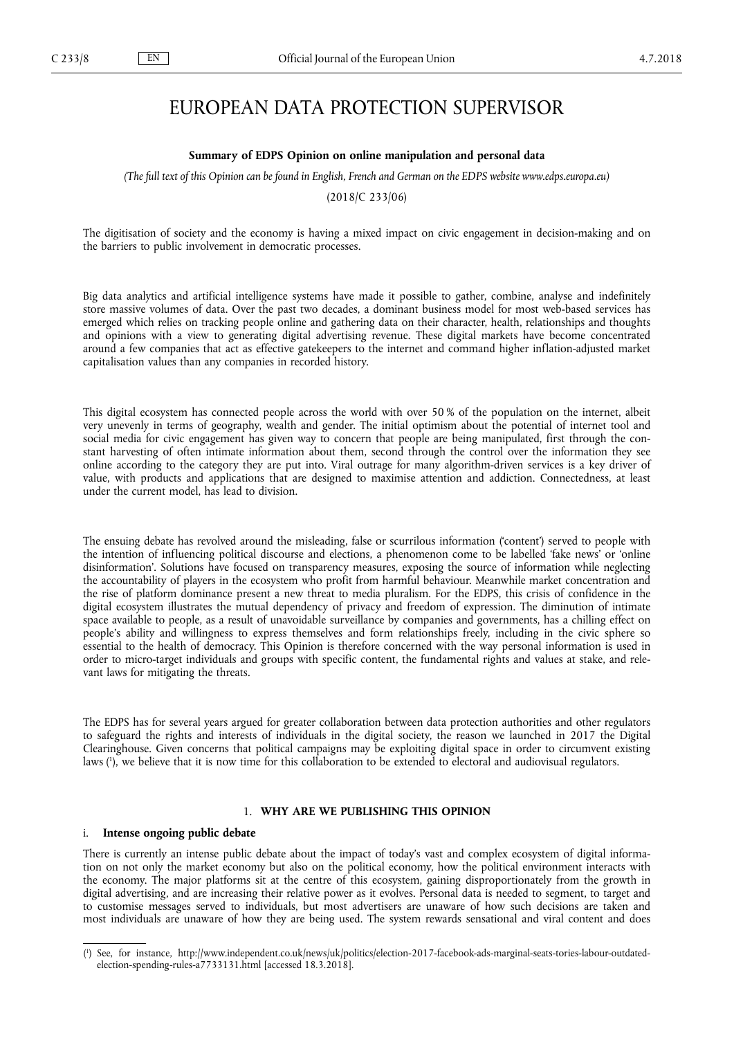# EUROPEAN DATA PROTECTION SUPERVISOR

#### **Summary of EDPS Opinion on online manipulation and personal data**

*(The full text of this Opinion can be found in English, French and German on the EDPS website [www.edps.europa.eu\)](http://www.edps.europa.eu)* 

(2018/C 233/06)

The digitisation of society and the economy is having a mixed impact on civic engagement in decision-making and on the barriers to public involvement in democratic processes.

Big data analytics and artificial intelligence systems have made it possible to gather, combine, analyse and indefinitely store massive volumes of data. Over the past two decades, a dominant business model for most web-based services has emerged which relies on tracking people online and gathering data on their character, health, relationships and thoughts and opinions with a view to generating digital advertising revenue. These digital markets have become concentrated around a few companies that act as effective gatekeepers to the internet and command higher inflation-adjusted market capitalisation values than any companies in recorded history.

This digital ecosystem has connected people across the world with over 50 % of the population on the internet, albeit very unevenly in terms of geography, wealth and gender. The initial optimism about the potential of internet tool and social media for civic engagement has given way to concern that people are being manipulated, first through the constant harvesting of often intimate information about them, second through the control over the information they see online according to the category they are put into. Viral outrage for many algorithm-driven services is a key driver of value, with products and applications that are designed to maximise attention and addiction. Connectedness, at least under the current model, has lead to division.

The ensuing debate has revolved around the misleading, false or scurrilous information ('content') served to people with the intention of influencing political discourse and elections, a phenomenon come to be labelled 'fake news' or 'online disinformation'. Solutions have focused on transparency measures, exposing the source of information while neglecting the accountability of players in the ecosystem who profit from harmful behaviour. Meanwhile market concentration and the rise of platform dominance present a new threat to media pluralism. For the EDPS, this crisis of confidence in the digital ecosystem illustrates the mutual dependency of privacy and freedom of expression. The diminution of intimate space available to people, as a result of unavoidable surveillance by companies and governments, has a chilling effect on people's ability and willingness to express themselves and form relationships freely, including in the civic sphere so essential to the health of democracy. This Opinion is therefore concerned with the way personal information is used in order to micro-target individuals and groups with specific content, the fundamental rights and values at stake, and relevant laws for mitigating the threats.

The EDPS has for several years argued for greater collaboration between data protection authorities and other regulators to safeguard the rights and interests of individuals in the digital society, the reason we launched in 2017 the Digital Clearinghouse. Given concerns that political campaigns may be exploiting digital space in order to circumvent existing laws ( 1 ), we believe that it is now time for this collaboration to be extended to electoral and audiovisual regulators.

### 1. **WHY ARE WE PUBLISHING THIS OPINION**

### i. **Intense ongoing public debate**

There is currently an intense public debate about the impact of today's vast and complex ecosystem of digital information on not only the market economy but also on the political economy, how the political environment interacts with the economy. The major platforms sit at the centre of this ecosystem, gaining disproportionately from the growth in digital advertising, and are increasing their relative power as it evolves. Personal data is needed to segment, to target and to customise messages served to individuals, but most advertisers are unaware of how such decisions are taken and most individuals are unaware of how they are being used. The system rewards sensational and viral content and does

<sup>(</sup> 1 ) [See, for instance, http://www.independent.co.uk/news/uk/politics/election-2017-facebook-ads-marginal-seats-tories-labour-outdated](http://www.independent.co.uk/news/uk/politics/election-2017-facebook-ads-marginal-seats-tories-labour-outdated-election-spending-rules-a7733131.html)election-spending-rules-a7733131.html [accessed 18.3.2018].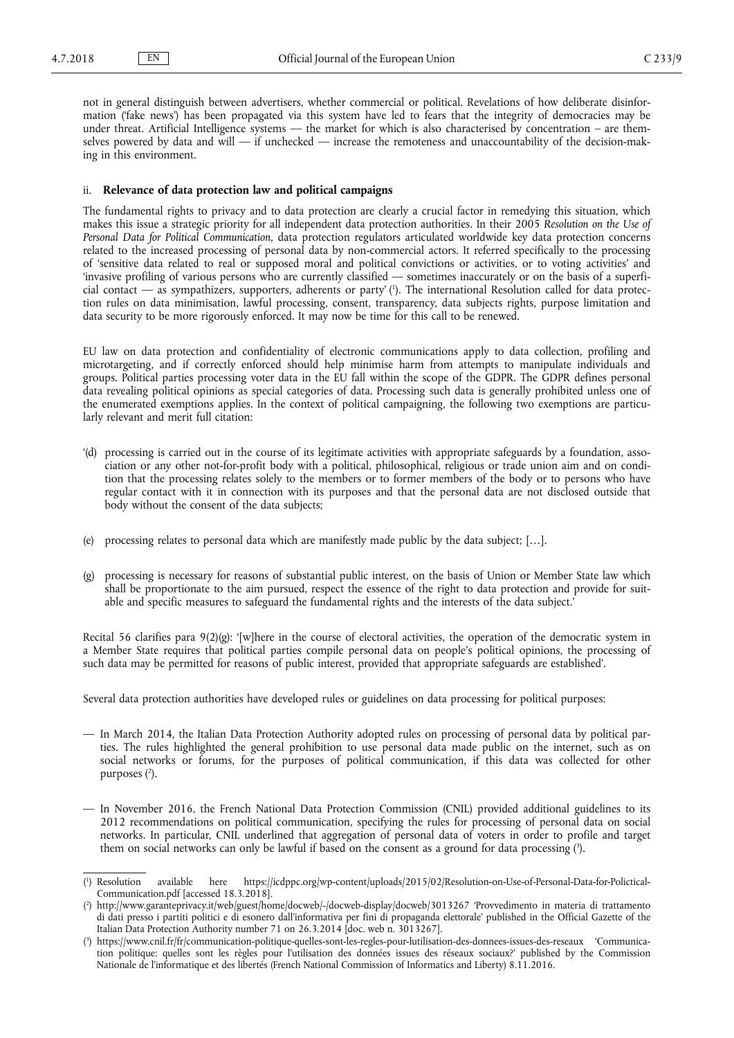not in general distinguish between advertisers, whether commercial or political. Revelations of how deliberate disinformation ('fake news') has been propagated via this system have led to fears that the integrity of democracies may be under threat. Artificial Intelligence systems — the market for which is also characterised by concentration – are themselves powered by data and will  $-$  if unchecked  $-$  increase the remoteness and unaccountability of the decision-making in this environment.

### ii. **Relevance of data protection law and political campaigns**

The fundamental rights to privacy and to data protection are clearly a crucial factor in remedying this situation, which makes this issue a strategic priority for all independent data protection authorities. In their 2005 *Resolution on the Use of Personal Data for Political Communication,* data protection regulators articulated worldwide key data protection concerns related to the increased processing of personal data by non-commercial actors. It referred specifically to the processing of 'sensitive data related to real or supposed moral and political convictions or activities, or to voting activities' and 'invasive profiling of various persons who are currently classified — sometimes inaccurately or on the basis of a superficial contact — as sympathizers, supporters, adherents or party' ( 1 ). The international Resolution called for data protection rules on data minimisation, lawful processing, consent, transparency, data subjects rights, purpose limitation and data security to be more rigorously enforced. It may now be time for this call to be renewed.

EU law on data protection and confidentiality of electronic communications apply to data collection, profiling and microtargeting, and if correctly enforced should help minimise harm from attempts to manipulate individuals and groups. Political parties processing voter data in the EU fall within the scope of the GDPR. The GDPR defines personal data revealing political opinions as special categories of data. Processing such data is generally prohibited unless one of the enumerated exemptions applies. In the context of political campaigning, the following two exemptions are particularly relevant and merit full citation:

- '(d) processing is carried out in the course of its legitimate activities with appropriate safeguards by a foundation, association or any other not-for-profit body with a political, philosophical, religious or trade union aim and on condition that the processing relates solely to the members or to former members of the body or to persons who have regular contact with it in connection with its purposes and that the personal data are not disclosed outside that body without the consent of the data subjects;
- (e) processing relates to personal data which are manifestly made public by the data subject; […].
- (g) processing is necessary for reasons of substantial public interest, on the basis of Union or Member State law which shall be proportionate to the aim pursued, respect the essence of the right to data protection and provide for suitable and specific measures to safeguard the fundamental rights and the interests of the data subject.'

Recital 56 clarifies para 9(2)(g): '[w]here in the course of electoral activities, the operation of the democratic system in a Member State requires that political parties compile personal data on people's political opinions, the processing of such data may be permitted for reasons of public interest, provided that appropriate safeguards are established'.

Several data protection authorities have developed rules or guidelines on data processing for political purposes:

- In March 2014, the Italian Data Protection Authority adopted rules on processing of personal data by political parties. The rules highlighted the general prohibition to use personal data made public on the internet, such as on social networks or forums, for the purposes of political communication, if this data was collected for other purposes ( 2 ).
- In November 2016, the French National Data Protection Commission (CNIL) provided additional guidelines to its 2012 recommendations on political communication, specifying the rules for processing of personal data on social networks. In particular, CNIL underlined that aggregation of personal data of voters in order to profile and target them on social networks can only be lawful if based on the consent as a ground for data processing (?).

 $(^1$ https://icdppc.org/wp-content/uploads/2015/02/Resolution-on-Use-of-Personal-Data-for-Polictical-Communication.pdf [accessed 18.3.2018].

<sup>(</sup> 2 ) <http://www.garanteprivacy.it/web/guest/home/docweb/-/docweb-display/docweb/3013267> 'Provvedimento in materia di trattamento di dati presso i partiti politici e di esonero dall'informativa per fini di propaganda elettorale' published in the Official Gazette of the Italian Data Protection Authority number 71 on 26.3.2014 [doc. web n. 3013267].

<sup>(</sup> 3 ) <https://www.cnil.fr/fr/communication-politique-quelles-sont-les-regles-pour-lutilisation-des-donnees-issues-des-reseaux> 'Communication politique: quelles sont les règles pour l'utilisation des données issues des réseaux sociaux?' published by the Commission Nationale de l'informatique et des libertés (French National Commission of Informatics and Liberty) 8.11.2016.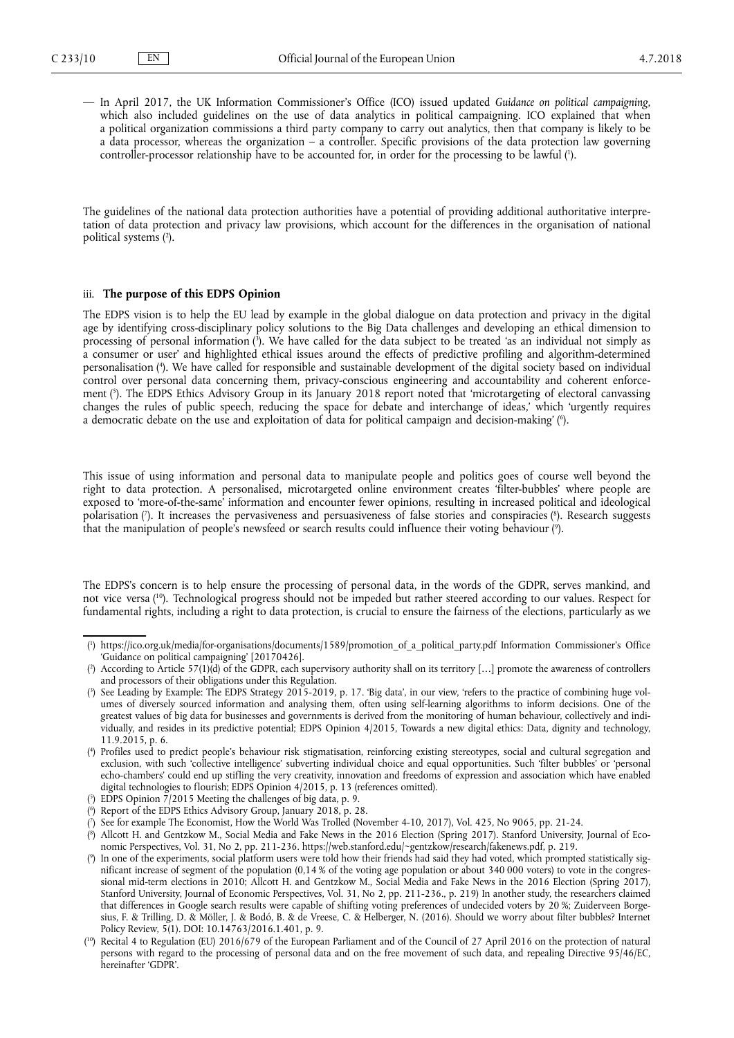— In April 2017, the UK Information Commissioner's Office (ICO) issued updated *Guidance on political campaigning*, which also included guidelines on the use of data analytics in political campaigning. ICO explained that when a political organization commissions a third party company to carry out analytics, then that company is likely to be a data processor, whereas the organization – a controller. Specific provisions of the data protection law governing controller-processor relationship have to be accounted for, in order for the processing to be lawful ( 1 ).

The guidelines of the national data protection authorities have a potential of providing additional authoritative interpretation of data protection and privacy law provisions, which account for the differences in the organisation of national political systems ( 2 ).

### iii. **The purpose of this EDPS Opinion**

The EDPS vision is to help the EU lead by example in the global dialogue on data protection and privacy in the digital age by identifying cross-disciplinary policy solutions to the Big Data challenges and developing an ethical dimension to processing of personal information ( 3 ). We have called for the data subject to be treated 'as an individual not simply as a consumer or user' and highlighted ethical issues around the effects of predictive profiling and algorithm-determined personalisation ( 4 ). We have called for responsible and sustainable development of the digital society based on individual control over personal data concerning them, privacy-conscious engineering and accountability and coherent enforcement ( 5 ). The EDPS Ethics Advisory Group in its January 2018 report noted that 'microtargeting of electoral canvassing changes the rules of public speech, reducing the space for debate and interchange of ideas,' which 'urgently requires a democratic debate on the use and exploitation of data for political campaign and decision-making' ( 6 ).

This issue of using information and personal data to manipulate people and politics goes of course well beyond the right to data protection. A personalised, microtargeted online environment creates 'filter-bubbles' where people are exposed to 'more-of-the-same' information and encounter fewer opinions, resulting in increased political and ideological polarisation (7). It increases the pervasiveness and persuasiveness of false stories and conspiracies (8). Research suggests that the manipulation of people's newsfeed or search results could influence their voting behaviour ( 9 ).

The EDPS's concern is to help ensure the processing of personal data, in the words of the GDPR, serves mankind, and not vice versa ( <sup>10</sup>). Technological progress should not be impeded but rather steered according to our values. Respect for fundamental rights, including a right to data protection, is crucial to ensure the fairness of the elections, particularly as we

<sup>(</sup> 1 ) [https://ico.org.uk/media/for-organisations/documents/1589/promotion\\_of\\_a\\_political\\_party.pdf](https://ico.org.uk/media/for-organisations/documents/1589/promotion_of_a_political_party.pdf) Information Commissioner's Office 'Guidance on political campaigning' [20170426].

<sup>(</sup> 2 ) According to Article 57(1)(d) of the GDPR, each supervisory authority shall on its territory […] promote the awareness of controllers and processors of their obligations under this Regulation.

<sup>(</sup> 3 ) See Leading by Example: The EDPS Strategy 2015-2019, p. 17. 'Big data', in our view, 'refers to the practice of combining huge volumes of diversely sourced information and analysing them, often using self-learning algorithms to inform decisions. One of the greatest values of big data for businesses and governments is derived from the monitoring of human behaviour, collectively and individually, and resides in its predictive potential; EDPS Opinion 4/2015, Towards a new digital ethics: Data, dignity and technology, 11.9.2015, p. 6.

<sup>(</sup> 4 ) Profiles used to predict people's behaviour risk stigmatisation, reinforcing existing stereotypes, social and cultural segregation and exclusion, with such 'collective intelligence' subverting individual choice and equal opportunities. Such 'filter bubbles' or 'personal echo-chambers' could end up stifling the very creativity, innovation and freedoms of expression and association which have enabled digital technologies to flourish; EDPS Opinion 4/2015, p. 13 (references omitted).

<sup>(</sup> 5 ) EDPS Opinion 7/2015 Meeting the challenges of big data, p. 9.

<sup>(</sup> 6 ) Report of the EDPS Ethics Advisory Group, January 2018, p. 28.

<sup>(</sup> 7 ) See for example The Economist, How the World Was Trolled (November 4-10, 2017), Vol. 425, No 9065, pp. 21-24.

<sup>(</sup> 8 ) Allcott H. and Gentzkow M., Social Media and Fake News in the 2016 Election (Spring 2017). Stanford University, Journal of Economic Perspectives, Vol. 31, No 2, pp. 211-236. [https://web.stanford.edu/~gentzkow/research/fakenews.pdf,](https://web.stanford.edu/~gentzkow/research/fakenews.pdf) p. 219.

<sup>(</sup> 9 ) In one of the experiments, social platform users were told how their friends had said they had voted, which prompted statistically significant increase of segment of the population (0,14 % of the voting age population or about 340 000 voters) to vote in the congressional mid-term elections in 2010; Allcott H. and Gentzkow M., Social Media and Fake News in the 2016 Election (Spring 2017), Stanford University, Journal of Economic Perspectives, Vol. 31, No 2, pp. 211-236., p. 219) In another study, the researchers claimed that differences in Google search results were capable of shifting voting preferences of undecided voters by 20 %; Zuiderveen Borgesius, F. & Trilling, D. & Möller, J. & Bodó, B. & de Vreese, C. & Helberger, N. (2016). Should we worry about filter bubbles? Internet Policy Review, 5(1). DOI: 10.14763/2016.1.401, p. 9.

<sup>(</sup> <sup>10</sup>) Recital 4 to Regulation (EU) 2016/679 of the European Parliament and of the Council of 27 April 2016 on the protection of natural persons with regard to the processing of personal data and on the free movement of such data, and repealing Directive 95/46/EC, hereinafter 'GDPR'.